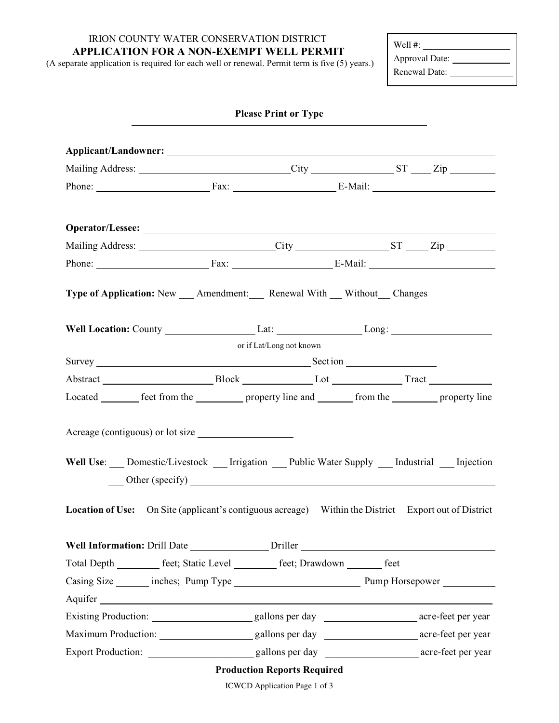IRION COUNTY WATER CONSERVATION DISTRICT **APPLICATION FOR A NON-EXEMPT WELL PERMIT**

(A separate application is required for each well or renewal. Permit term is five (5) years.)

Well #: Approval Date: Renewal Date:

|                                                                                                                                          | <b>Please Print or Type</b>            |  |  |
|------------------------------------------------------------------------------------------------------------------------------------------|----------------------------------------|--|--|
|                                                                                                                                          |                                        |  |  |
| Mailing Address: City City ST Zip                                                                                                        |                                        |  |  |
| Phone: Fax: Fax: E-Mail:                                                                                                                 |                                        |  |  |
|                                                                                                                                          |                                        |  |  |
|                                                                                                                                          |                                        |  |  |
| Phone: Fax: Fax: E-Mail:                                                                                                                 |                                        |  |  |
| Type of Application: New ___ Amendment: ___ Renewal With ___ Without __ Changes                                                          |                                        |  |  |
| Well Location: County _____________________Lat: _________________________________                                                        |                                        |  |  |
|                                                                                                                                          | or if Lat/Long not known               |  |  |
|                                                                                                                                          |                                        |  |  |
| Abstract Block BLock Lot Lot Tract                                                                                                       |                                        |  |  |
| Located ________ feet from the ___________ property line and _________ from the __________ property line                                 |                                        |  |  |
| Acreage (contiguous) or lot size<br>Well Use: ___ Domestic/Livestock ___ Irrigation ___ Public Water Supply ___ Industrial ___ Injection | Other (specify)<br><u>Conservation</u> |  |  |
| Location of Use: On Site (applicant's contiguous acreage) Within the District Export out of District                                     |                                        |  |  |
| Well Information: Drill Date ________________ Driller __________________________                                                         |                                        |  |  |
| Total Depth _________ feet; Static Level ________ feet; Drawdown _______ feet                                                            |                                        |  |  |
|                                                                                                                                          |                                        |  |  |
|                                                                                                                                          |                                        |  |  |
|                                                                                                                                          |                                        |  |  |
|                                                                                                                                          |                                        |  |  |
|                                                                                                                                          |                                        |  |  |
|                                                                                                                                          | <b>Production Reports Required</b>     |  |  |

ICWCD Application Page 1 of 3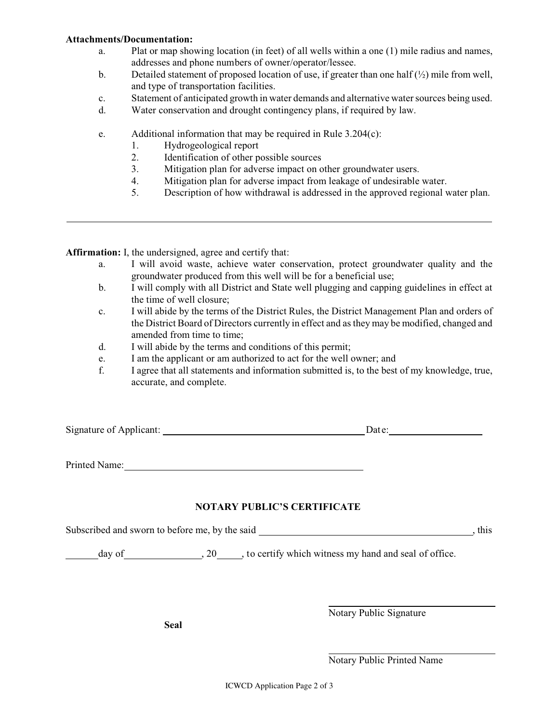## **Attachments/Documentation:**

- a. Plat or map showing location (in feet) of all wells within a one (1) mile radius and names, addresses and phone numbers of owner/operator/lessee.
- b. Detailed statement of proposed location of use, if greater than one half  $\left(\frac{1}{2}\right)$  mile from well, and type of transportation facilities.
- c. Statement of anticipated growth in water demands and alternative watersources being used.
- d. Water conservation and drought contingency plans, if required by law.
- e. Additional information that may be required in Rule 3.204(c):
	- 1. Hydrogeological report
	- 2. Identification of other possible sources
	- 3. Mitigation plan for adverse impact on other groundwater users.
	- 4. Mitigation plan for adverse impact from leakage of undesirable water.
	- 5. Description of how withdrawal is addressed in the approved regional water plan.

**Affirmation:** I, the undersigned, agree and certify that:

- a. I will avoid waste, achieve water conservation, protect groundwater quality and the groundwater produced from this well will be for a beneficial use;
- b. I will comply with all District and State well plugging and capping guidelines in effect at the time of well closure;
- c. I will abide by the terms of the District Rules, the District Management Plan and orders of the District Board of Directors currently in effect and as they may be modified, changed and amended from time to time;
- d. I will abide by the terms and conditions of this permit;
- e. I am the applicant or am authorized to act for the well owner; and
- f. I agree that all statements and information submitted is, to the best of my knowledge, true, accurate, and complete.

Signature of Applicant: Date:

Printed Name: Name:

## **NOTARY PUBLIC'S CERTIFICATE**

Subscribed and sworn to before me, by the said , this

day of  $, 20$ , to certify which witness my hand and seal of office.

**Seal**

Notary Public Signature

l

l,

Notary Public Printed Name